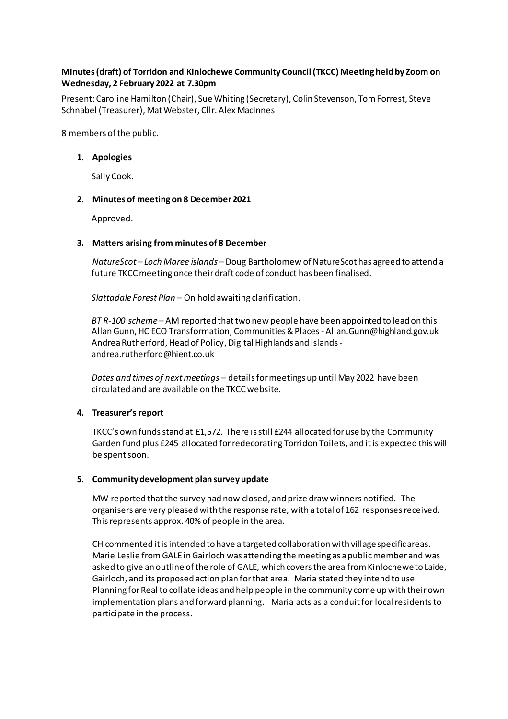# **Minutes(draft) of Torridon and Kinlochewe Community Council (TKCC) Meetingheldby Zoom on Wednesday, 2 February 2022 at 7.30pm**

Present: Caroline Hamilton (Chair), Sue Whiting (Secretary), Colin Stevenson, TomForrest, Steve Schnabel (Treasurer), MatWebster, Cllr. Alex MacInnes

8 members of the public.

#### **1. Apologies**

Sally Cook.

#### **2. Minutes of meetingon8 December2021**

Approved.

## **3. Matters arising from minutes of 8 December**

*NatureScot – Loch Maree islands –* Doug Bartholomew of NatureScot has agreed to attend a future TKCC meeting once their draft code of conduct has been finalised.

*Slattadale Forest Plan –* On hold awaiting clarification.

*BT R-100 scheme –* AM reported that two new people have been appointed to lead on this: Allan Gunn, HC ECO Transformation, Communities & Places- [Allan.Gunn@highland.gov.uk](mailto:Allan.Gunn@highland.gov.uk) Andrea Rutherford, Head of Policy, Digital Highlands and Islands[andrea.rutherford@hient.co.uk](mailto:andrea.rutherford@hient.co.uk)

*Dates and times of next meetings* – details for meetings up until May 2022 have been circulated and are available on the TKCC website.

## **4. Treasurer's report**

TKCC's own fundsstand at £1,572. There isstill £244 allocated foruse by the Community Garden fund plus £245 allocated forredecorating Torridon Toilets, and itis expected this will be spentsoon.

#### **5.** Community development plan survey update

MW reported that the survey had now closed, and prize draw winners notified. The organisers are very pleased with the response rate, with a total of 162 responses received. This represents approx. 40% of people in the area.

CH commented it is intended to have a targeted collaboration with village specific areas. Marie Leslie fromGALEin Gairloch was attending the meeting as a public member and was asked to give an outline of the role of GALE, which covers the area from Kinlochewe to Laide, Gairloch, and its proposed action plan for that area. Maria stated they intend to use Planning for Real to collate ideas and help people in the community come up with their own implementation plans and forward planning. Maria acts as a conduit for local residentsto participate in the process.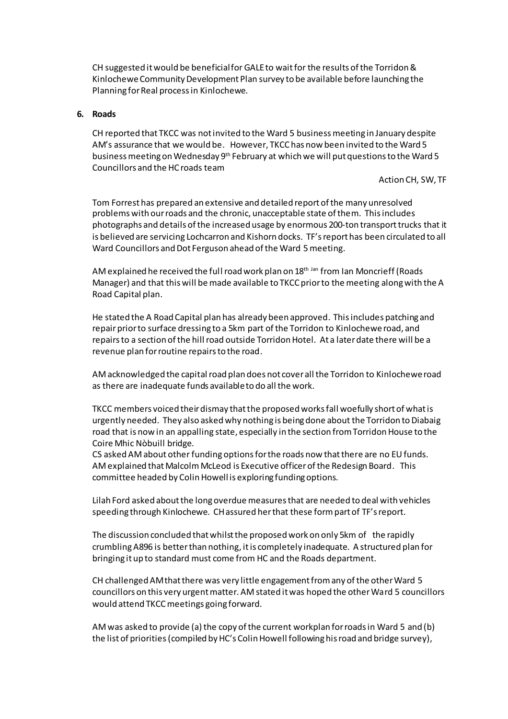CH suggested it would be beneficial for GALEto wait for the results of the Torridon & Kinlochewe Community Development Plan survey to be available before launching the Planning for Real process in Kinlochewe.

#### **6. Roads**

CH reported that TKCC was not invited to the Ward 5 businessmeeting in January despite AM's assurance that we would be. However, TKCC has now been invited to the Ward 5 business meeting on Wednesday 9<sup>th</sup> February at which we will put questions to the Ward 5 Councillors and the HC roads team

Action CH, SW, TF

Tom Forrest has prepared an extensive and detailed report of the many unresolved problems with our roads and the chronic, unacceptable state of them. This includes photographs and details of the increased usage by enormous 200-ton transport trucks that it is believed are servicing Lochcarron and Kishorn docks. TF's report has been circulated to all Ward Councillors and Dot Ferguson ahead of the Ward 5 meeting.

AM explained he received the full road work plan on  $18<sup>th Jan</sup>$  from Ian Moncrieff (Roads Manager) and that this will be made available to TKCC prior to the meeting along with the A Road Capital plan.

He stated the A Road Capital plan has already been approved. This includes patching and repair prior to surface dressing to a 5km part of the Torridon to Kinlochewe road, and repairs to a section of the hill road outside Torridon Hotel. At a later date there will be a revenue plan for routine repairs to the road.

AM acknowledged the capital road plan does not cover all the Torridon to Kinlochewe road as there are inadequate funds available to do all the work.

TKCC members voiced their dismay that the proposed works fall woefully short of what is urgently needed. They also asked why nothing is being done about the Torridon to Diabaig road that is now in an appalling state, especially in the section from Torridon House to the Coire Mhic Nòbuill bridge.

CS asked AM about other funding options for the roads now that there are no EU funds. AM explained that Malcolm McLeod is Executive officer of the Redesign Board. This committee headed by Colin Howell is exploring funding options.

Lilah Ford asked about the long overdue measures that are needed to deal with vehicles speeding through Kinlochewe. CH assured her that these form part of TF's report.

The discussion concluded that whilst the proposed work on only 5km of the rapidly crumblingA896 is better than nothing, it is completely inadequate. A structured plan for bringing it up to standard must come from HC and the Roads department.

CH challenged AM that there was very little engagement from any of the other Ward 5 councillors on this very urgent matter. AM stated it was hoped the other Ward 5 councillors would attend TKCC meetings going forward.

AM was asked to provide (a) the copy of the current workplan for roads in Ward 5 and (b) the list of priorities (compiled by HC's Colin Howell following his road and bridge survey),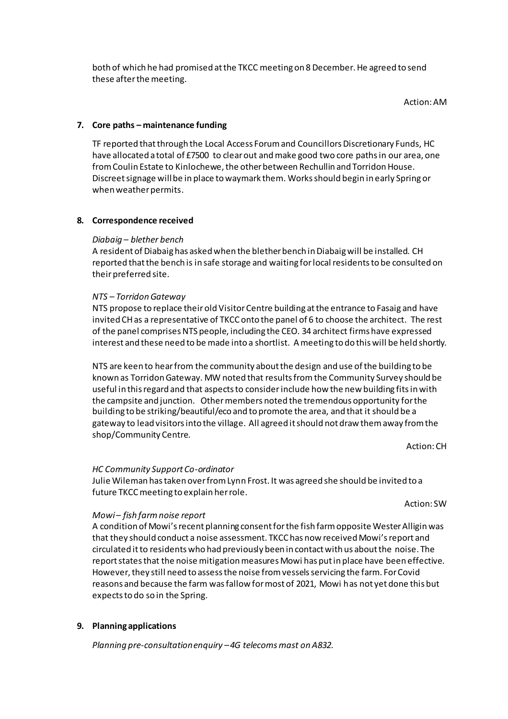both of which he had promised at the TKCC meeting on 8 December. He agreed to send these after the meeting.

Action: AM

## **7. Core paths – maintenance funding**

TF reported that through the Local Access Forum and Councillors Discretionary Funds, HC have allocated a total of £7500 to clearout and make good two core pathsin our area, one from Coulin Estate to Kinlochewe, the other between Rechullin and Torridon House. Discreet signage will be in place to waymark them. Works should begin in early Spring or when weather permits.

## **8. Correspondence received**

## *Diabaig – blether bench*

A resident of Diabaig has asked when the blether bench in Diabaig will be installed. CH reported that the bench is in safe storage and waiting for local residents to be consulted on their preferred site.

## *NTS – Torridon Gateway*

NTS propose to replace their old Visitor Centre building at the entrance to Fasaig and have invited CHas a representative of TKCC onto the panel of 6 to choose the architect. The rest of the panel comprises NTS people, including the CEO. 34 architect firms have expressed interest and these need to be made into a shortlist. A meeting to do this will be held shortly.

NTS are keen to hear from the community about the design and use of the building to be known as Torridon Gateway. MW noted that results from the Community Survey should be useful in this regard and that aspects to considerinclude how the new building fitsin with the campsite and junction. Other members noted the tremendous opportunity for the building to be striking/beautiful/eco and to promote the area, and that it should be a gateway to lead visitors into the village. All agreed it should not draw them away from the shop/Community Centre.

Action: CH

## *HC Community Support Co-ordinator*

*Mowi – fish farm noise report*

Julie Wileman has taken over from Lynn Frost. It was agreed she should be invited to a future TKCC meeting to explain her role.

Action: SW

# A condition of Mowi's recent planning consent for the fish farm opposite Wester Alligin was that they should conduct a noise assessment. TKCC has now received Mowi's report and circulated it to residents who had previously been in contact with us about the noise. The report states that the noise mitigation measures Mowi has put in place have been effective. However, they still need to assess the noise from vessels servicing the farm. For Covid reasons and because the farm was fallow for most of 2021, Mowi has not yet done this but expects to do so in the Spring.

## **9. Planning applications**

*Planning pre-consultation enquiry –4G telecoms mast on A832.*